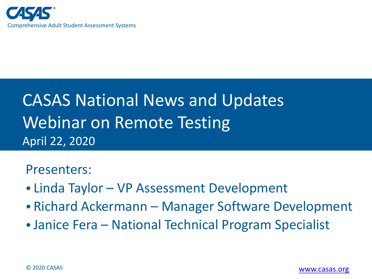

### CASAS National News and Updates Webinar on Remote Testing April 22, 2020

#### Presenters:

- Linda Taylor VP Assessment Development
- Richard Ackermann Manager Software Development
- •Janice Fera National Technical Program Specialist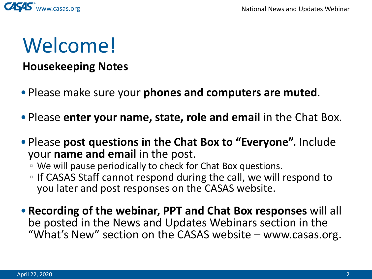

## Welcome!

#### **Housekeeping Notes**

- Please make sure your **phones and computers are muted**.
- Please **enter your name, state, role and email** in the Chat Box.
- Please **post questions in the Chat Box to "Everyone".** Include your **name and email** in the post.
	- We will pause periodically to check for Chat Box questions.
	- □ If CASAS Staff cannot respond during the call, we will respond to you later and post responses on the CASAS website.
- •**Recording of the webinar, PPT and Chat Box responses** will all be posted in the News and Updates Webinars section in the "What's New" section on the CASAS website – www.casas.org.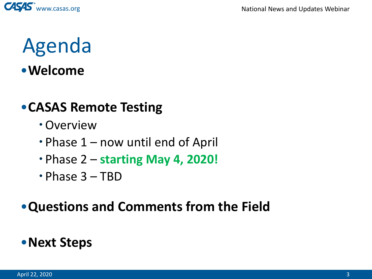

# Agenda

#### •**Welcome**

#### •**CASAS Remote Testing**

- Overview
- Phase 1 now until end of April
- Phase 2 **starting May 4, 2020!**
- $\cdot$  Phase 3 TBD

#### •**Questions and Comments from the Field**

#### •**Next Steps**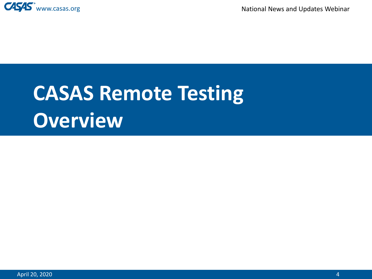

# **CASAS Remote Testing Overview**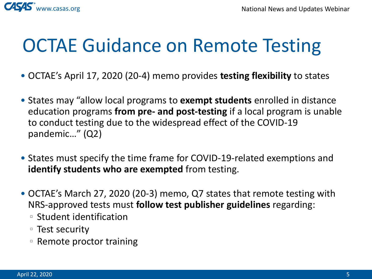

## OCTAE Guidance on Remote Testing

- OCTAE's April 17, 2020 (20-4) memo provides **testing flexibility** to states
- States may "allow local programs to **exempt students** enrolled in distance education programs **from pre- and post-testing** if a local program is unable to conduct testing due to the widespread effect of the COVID-19 pandemic…" (Q2)
- States must specify the time frame for COVID-19-related exemptions and **identify students who are exempted** from testing.
- OCTAE's March 27, 2020 (20-3) memo, Q7 states that remote testing with NRS-approved tests must **follow test publisher guidelines** regarding:
	- Student identification
	- Test security
	- Remote proctor training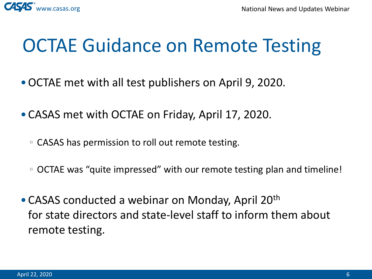

## OCTAE Guidance on Remote Testing

- •OCTAE met with all test publishers on April 9, 2020.
- •CASAS met with OCTAE on Friday, April 17, 2020.
	- CASAS has permission to roll out remote testing.
	- OCTAE was "quite impressed" with our remote testing plan and timeline!
- CASAS conducted a webinar on Monday, April 20<sup>th</sup> for state directors and state-level staff to inform them about remote testing.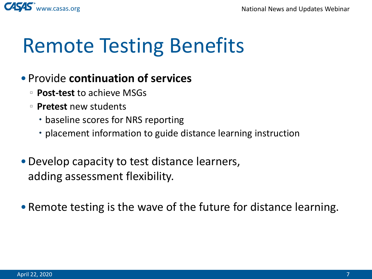

## Remote Testing Benefits

#### • Provide **continuation of services**

- **Post-test** to achieve MSGs
- **Pretest** new students
	- baseline scores for NRS reporting
	- placement information to guide distance learning instruction
- Develop capacity to test distance learners, adding assessment flexibility.
- Remote testing is the wave of the future for distance learning.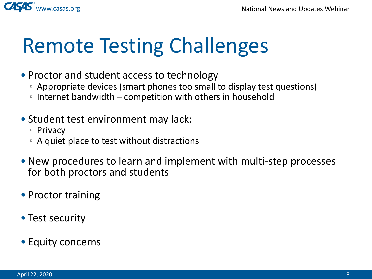

# Remote Testing Challenges

- Proctor and student access to technology
	- Appropriate devices (smart phones too small to display test questions)
	- Internet bandwidth competition with others in household
- Student test environment may lack:
	- Privacy
	- A quiet place to test without distractions
- New procedures to learn and implement with multi-step processes for both proctors and students
- Proctor training
- Test security
- Equity concerns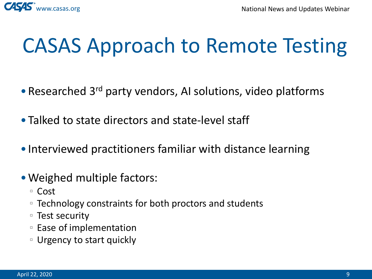

# CASAS Approach to Remote Testing

- Researched 3<sup>rd</sup> party vendors, AI solutions, video platforms
- Talked to state directors and state-level staff
- Interviewed practitioners familiar with distance learning
- Weighed multiple factors:
	- Cost
	- Technology constraints for both proctors and students
	- Test security
	- Ease of implementation
	- Urgency to start quickly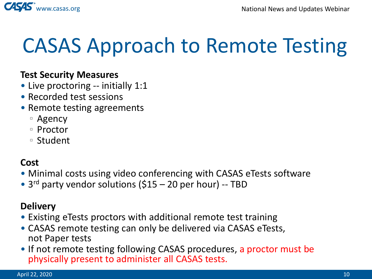

# CASAS Approach to Remote Testing

#### **Test Security Measures**

- Live proctoring -- initially 1:1
- Recorded test sessions
- Remote testing agreements
	- Agency
	- Proctor
	- Student

#### **Cost**

- Minimal costs using video conferencing with CASAS eTests software
- 3<sup>rd</sup> party vendor solutions (\$15 20 per hour) -- TBD

#### **Delivery**

- Existing eTests proctors with additional remote test training
- CASAS remote testing can only be delivered via CASAS eTests, not Paper tests
- If not remote testing following CASAS procedures, a proctor must be physically present to administer all CASAS tests.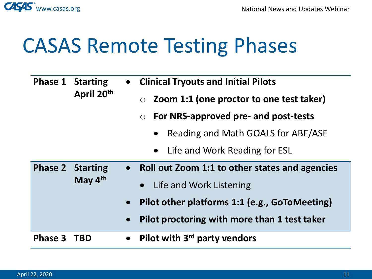

## CASAS Remote Testing Phases

|                | <b>Phase 1 Starting</b><br>April 20th  |           | • Clinical Tryouts and Initial Pilots               |
|----------------|----------------------------------------|-----------|-----------------------------------------------------|
|                |                                        |           | Zoom 1:1 (one proctor to one test taker)<br>$\circ$ |
|                |                                        |           | For NRS-approved pre- and post-tests<br>$\circ$     |
|                |                                        |           | Reading and Math GOALS for ABE/ASE<br>$\bullet$     |
|                |                                        |           | • Life and Work Reading for ESL                     |
| <b>Phase 2</b> | <b>Starting</b><br>May 4 <sup>th</sup> |           | • Roll out Zoom 1:1 to other states and agencies    |
|                |                                        |           | • Life and Work Listening                           |
|                |                                        | $\bullet$ | Pilot other platforms 1:1 (e.g., GoToMeeting)       |
|                |                                        | $\bullet$ | Pilot proctoring with more than 1 test taker        |
| Phase 3        | <b>TBD</b>                             | $\bullet$ | Pilot with 3 <sup>rd</sup> party vendors            |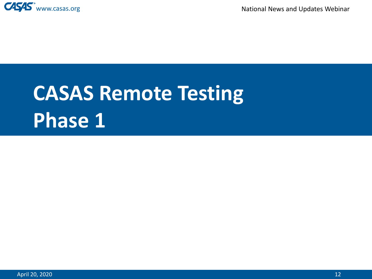

# **CASAS Remote Testing Phase 1**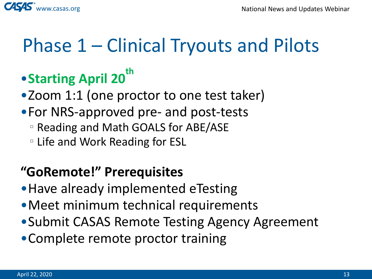

### Phase 1 – Clinical Tryouts and Pilots

### •**Starting April 20th**

•Zoom 1:1 (one proctor to one test taker)

- •For NRS-approved pre- and post-tests
	- Reading and Math GOALS for ABE/ASE
	- Life and Work Reading for ESL

#### **"GoRemote!" Prerequisites**

- •Have already implemented eTesting
- •Meet minimum technical requirements
- •Submit CASAS Remote Testing Agency Agreement
- •Complete remote proctor training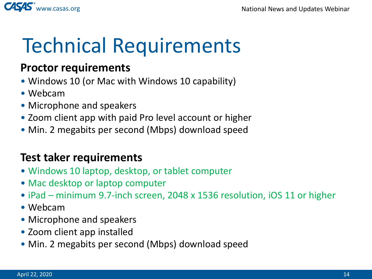

# Technical Requirements

#### **Proctor requirements**

- Windows 10 (or Mac with Windows 10 capability)
- Webcam
- Microphone and speakers
- Zoom client app with paid Pro level account or higher
- Min. 2 megabits per second (Mbps) download speed

#### **Test taker requirements**

- Windows 10 laptop, desktop, or tablet computer
- Mac desktop or laptop computer
- iPad minimum 9.7-inch screen, 2048 x 1536 resolution, iOS 11 or higher
- Webcam
- Microphone and speakers
- Zoom client app installed
- Min. 2 megabits per second (Mbps) download speed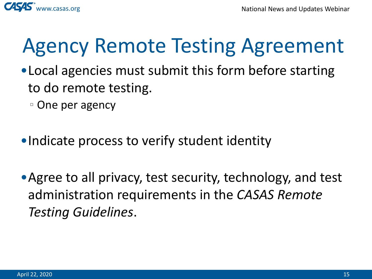



## Agency Remote Testing Agreement

- •Local agencies must submit this form before starting to do remote testing.
	- One per agency
- •Indicate process to verify student identity
- Agree to all privacy, test security, technology, and test administration requirements in the *CASAS Remote Testing Guidelines*.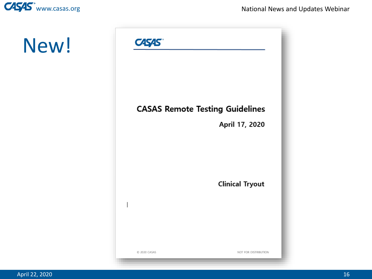

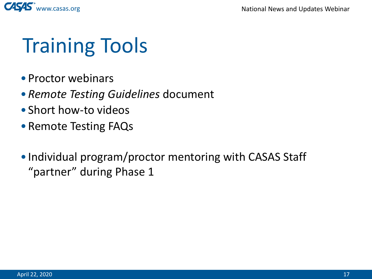

## Training Tools

- Proctor webinars
- •*Remote Testing Guidelines* document
- Short how-to videos
- Remote Testing FAQs
- Individual program/proctor mentoring with CASAS Staff "partner" during Phase 1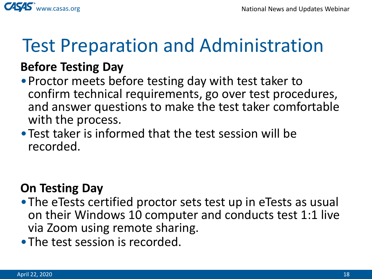

### Test Preparation and Administration

#### **Before Testing Day**

- •Proctor meets before testing day with test taker to confirm technical requirements, go over test procedures, and answer questions to make the test taker comfortable with the process.
- •Test taker is informed that the test session will be recorded.

#### **On Testing Day**

- •The eTests certified proctor sets test up in eTests as usual on their Windows 10 computer and conducts test 1:1 live via Zoom using remote sharing.
- The test session is recorded.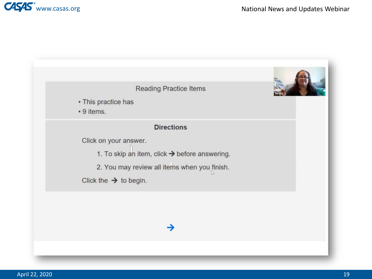

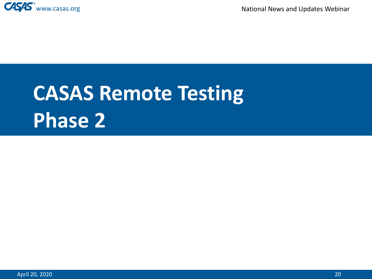

# **CASAS Remote Testing Phase 2**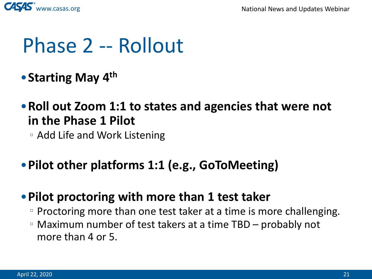

## Phase 2 -- Rollout

- •**Starting May 4th**
- •**Roll out Zoom 1:1 to states and agencies that were not in the Phase 1 Pilot**
	- Add Life and Work Listening
- •**Pilot other platforms 1:1 (e.g., GoToMeeting)**

#### •**Pilot proctoring with more than 1 test taker**

- □ Proctoring more than one test taker at a time is more challenging.
- Maximum number of test takers at a time TBD probably not more than 4 or 5.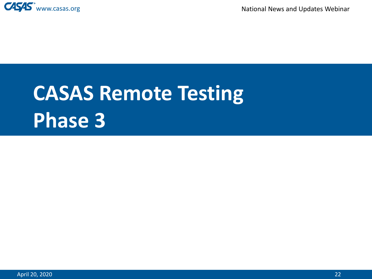

# **CASAS Remote Testing Phase 3**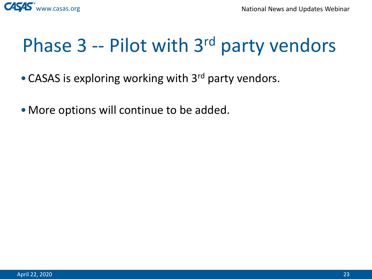

## Phase 3 -- Pilot with 3<sup>rd</sup> party vendors

- CASAS is exploring working with 3<sup>rd</sup> party vendors.
- •More options will continue to be added.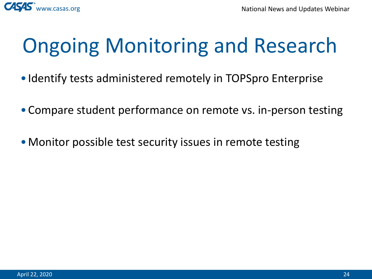

# Ongoing Monitoring and Research

- Identify tests administered remotely in TOPSpro Enterprise
- •Compare student performance on remote vs. in-person testing
- Monitor possible test security issues in remote testing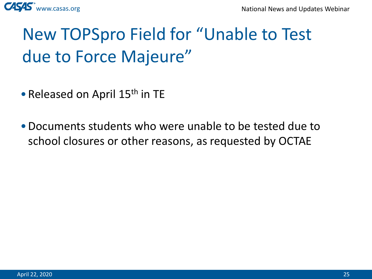

### New TOPSpro Field for "Unable to Test due to Force Majeure"

- Released on April 15<sup>th</sup> in TE
- •Documents students who were unable to be tested due to school closures or other reasons, as requested by OCTAE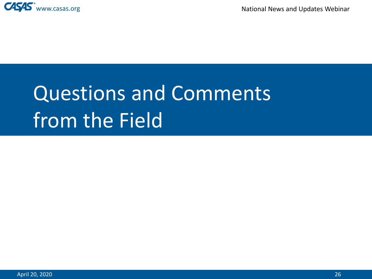

# Questions and Comments from the Field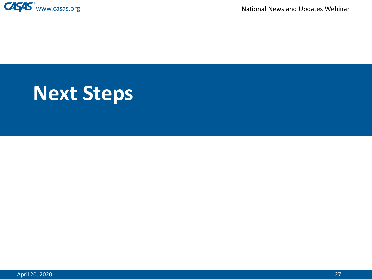

## **Next Steps**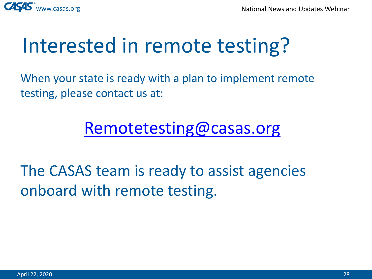

## Interested in remote testing?

When your state is ready with a plan to implement remote testing, please contact us at:

#### [Remotetesting@casas.org](mailto:Remotetesting@casas.org)

The CASAS team is ready to assist agencies onboard with remote testing.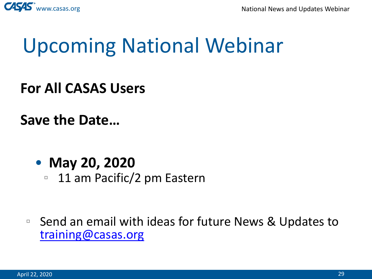

## Upcoming National Webinar

**For All CASAS Users**

**Save the Date…**

• **May 20, 2020**

□ 11 am Pacific/2 pm Eastern

□ Send an email with ideas for future News & Updates to [training@casas.org](mailto:training@casas.org)